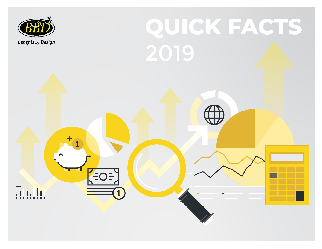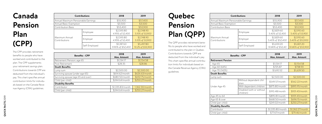# **Canada Pension Plan (CPP)**

The CPP provides retirement benefits to people who have worked and contributed to the plan. The CPP supplements your retirement savings plan. Contributions towards CPP are deducted from the individual's pay. This chart specifies annual contribution limits for individu als based on the Canada Reve nue Agency (CRA) guidelines.

## **Quebec Pension Plan (QPP)**

The QPP provides retirement bene fits to people who have worked and contributed to the plan in Quebec. Contributions towards QPP are deducted from the individual's pay. This chart specifies annual contribu tion limits for individuals based on the Canada Revenue Agency (CRA)

guidelines.

|                                     | <b>Contributions</b>  | 2018                            | 2019                            |
|-------------------------------------|-----------------------|---------------------------------|---------------------------------|
| Annual Maximum Pensionable Earnings |                       | \$55,900                        | \$57,400                        |
| <b>Annual Basic Exemption</b>       |                       | \$3,500                         | \$3,500                         |
| <b>Contribution Basis</b>           |                       | \$53,400                        | \$53,900                        |
|                                     | Employee              | \$2,593.80<br>4.95% of 52,400   | \$2,748.90<br>5.10% of 53,900   |
| Maximum Annual<br>Contributions     | Employer              | \$2,593.80<br>4.95% of 52,400   | \$2,748.90<br>5.10% of 53,900   |
|                                     | Self-Employed         | \$5,187.60<br>9.90% of \$52,400 | \$5,497.80<br>10.2% of \$53,900 |
|                                     |                       |                                 |                                 |
|                                     | <b>Benefits - CPP</b> | 2018<br>Max. Amount             | 2019<br>Max. Amount             |
| Retirement Pension: age 65          |                       | \$1,134.17                      | \$1,154.58                      |
| Post Retirement                     |                       | \$28.35                         | \$28.86                         |
| <b>Death Benefits</b>               |                       |                                 |                                 |
| Lump sum                            |                       | \$2,500.00                      | \$2,500.00                      |
| Surviving spouse (under age 65)     |                       | \$614.62/month                  | \$626.63/month                  |
| Surviving spouse (age 65 and over)  |                       | \$680.50/month                  | \$692.75/month                  |
| Child (per child)                   |                       | \$244.64/month                  | \$250.27/month                  |
| <b>Disability Benefits</b>          |                       |                                 |                                 |

| <b>Contributions</b>                |               | 2018                            | 2019                             |
|-------------------------------------|---------------|---------------------------------|----------------------------------|
| Annual Maximum Pensionable Earnings |               | \$55,900                        | \$57,400                         |
| <b>Annual Basic Exemption</b>       |               | \$3,500                         | \$3,500                          |
| <b>Contribution Basis</b>           |               | \$53,400                        | \$53,900                         |
| Maximum Annual<br>Contributions     | Employee      | \$2,829.60<br>5.40% of 52,400   | \$2,910.60<br>5.40% of 53,900    |
|                                     | Employer      | \$2,829.60<br>5.40% of \$52,400 | \$2,910.60<br>5.40% of \$53,900  |
|                                     | Self-Employed | \$5,659.20<br>10.80% of \$52,40 | \$5,821.20<br>10.80% of \$53,900 |

Contributor \$1,335.83/month 1,362.30/month Child (per child) \$244.64/month \$250.27/month

| <b>Benefits - CPP</b>      |                                        | 2018             | 2019             |
|----------------------------|----------------------------------------|------------------|------------------|
|                            |                                        | Max. Amount      | Max. Amount      |
| <b>Retirement Pension</b>  |                                        |                  |                  |
| - Age 65                   |                                        | \$1,134.17       | \$1,154.58       |
| - Age 60 (64%)             |                                        | \$725.87         | \$738.93         |
| - Age 70 (142%)            |                                        | \$1,610.52       | \$1,639.50       |
| <b>Death Benefits</b>      |                                        |                  |                  |
| Lump sum                   |                                        | \$2,500.00       | \$2,500.00       |
|                            | Without dependent chil-<br>dren        | \$549.57/month   | \$562.22/month   |
| Under Age 45               | With dependent children                | \$875.80/month   | \$895.95/month   |
|                            | Disabled (with or without<br>children) | \$910.48/month   | \$931.43/month   |
| Age 45 to 64               |                                        | \$895.81/month   | \$931.43/month   |
| Age 65 & over              |                                        | \$668.50/month   | \$696.15/month   |
| Child (per child)          |                                        | \$241.02/month   | \$250.27/month   |
| <b>Disability Benefits</b> |                                        |                  |                  |
| Contributor                |                                        | \$1,335.80/month | \$1,362.27/month |
| Child (per child)          |                                        | \$77.67/month    | \$79.46/month    |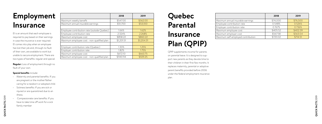## **Employment Insurance**

EI is an amount that each employee is required to pay based on their earnings in case the insurance is ever required. EI comes into play when an employee has lost their job and, through no fault of their own, are available to work but unable to secure employment. There are two types of benefits: regular and special.

- **Special benefits** include:<br>• Maternity and parental benefits. If you are pregnant or the mother/father caring for a newborn or adopted child.
- Sickness benefits: If you are sick or injured or are quarantined due to an illness.
- Compassionate care benefits: If you have to take time off work for a sick family member

**Regular:** Loss of employment through no fault of your own.

|                                             | 2018       | 2019       |
|---------------------------------------------|------------|------------|
| Maximum weekly benefit                      | \$547.00   | \$562.00   |
| Maximum annual insurable earnings           | \$51,700   | \$53,100   |
|                                             |            |            |
| Employee contribution rate (outside Quebec) | 1.66%      | 1.62%      |
| Employee contribution rate                  | 2.324%     | 2.268%     |
| Maximum employee cost                       | \$858.22   | \$860.22   |
| Maximum employee cost - non-qualified plan  | \$1,201.51 | \$1,204.31 |
|                                             |            |            |
| Employer contribution rate (Quebec)         | 1.30%      | 1.25%      |
| Employer contribution rate                  | 1.82%      | 1.75%      |
| Maximum employee cost                       | \$672.10   | \$663.75   |
| Maximum employee cost - non-qualified plan  | \$940.94   | \$929.25   |

# **Quebec Parental Insurance Plan (QPIP)**

QPIP supplements income for parents on parental leave. It is designed to sup port new parents as they devote time to their children in their first few months. It replaces maternity, parental or adoptive parent benefits provided before 2006 under the federal employment insurance plan.

|                                    | 2018     | 2019     |
|------------------------------------|----------|----------|
| Maximum annual insurable earnings  | \$74,000 | \$76,500 |
| Employee contribution rate         | 0.548%   | 0.526%   |
| Employer contribution rate         | 0.767%   | 0.736%   |
| Maximum employee cost              | \$405.52 | \$402.39 |
| Maximum employer cost              | \$567.58 | \$563.04 |
| Maximum self-employed contribution | \$720.02 | \$714.51 |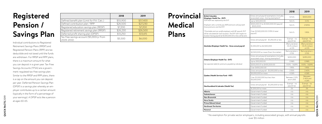## **Registered Pension / Savings Plan**

Individual contributions to Registered Retirement Savings Plans (RRSP) and Registered Pension Plans (RPP) are tax deductible and not taxed until the funds are withdrawn. For RRSP and RPP plans, there is a maximum amount for what you can deposit in a given year. Tax-Free Savings Accounts (TFSA) are a govern ment-regulated tax-free savings plan. Similar to the RRSP and RPP plans, there is a cap on the amount you can deposit per year. Deferred Pension Savings Plan (DPSP) is a savings plan whereby an em ployer contributes up to a certain amount (typically in the form of a percentage of your earnings). A DPSP acts like a pension at ages 60-65.

QUICK FACTS 2019 **QUICK FACTS** 2019

#### **Provincia Medical Plans**

|                                                         | 2018     | 2019     |
|---------------------------------------------------------|----------|----------|
| Defined benefit plan (Limit for P.A. Calc.)             | \$55,900 | \$57,400 |
| Defined contribution plan / RPP                         | \$26,500 | \$27,230 |
| Registered education savings plan (RESP)                | \$7,200  | \$7,200  |
| Registered retirement savings plan (RRSP)               | \$26,230 | \$26,500 |
| Deferred profit sharing plan (DPSP)                     | \$13,250 | \$13,615 |
| Tax-free savings account (\$5,000/yr from<br>2009-2012) | \$5,500  | \$6,000  |

<sup>1</sup> No exemption for private sector employers, including associated groups, with annual payrolls over \$5 million

|                                                                                                                                                                                              |                                                                                                | 2018                                           | 2019                                          |
|----------------------------------------------------------------------------------------------------------------------------------------------------------------------------------------------|------------------------------------------------------------------------------------------------|------------------------------------------------|-----------------------------------------------|
| <b>British Columbia</b><br>(Employer Health Tax - EHT)                                                                                                                                       | Gross annual payroll exemptions (includes<br>associated corps. sharing exemption) <sup>1</sup> | \$ N/A                                         | \$500,000                                     |
| 2019 MSP was replaced by the EHT                                                                                                                                                             | Up to 500,000.00                                                                               | N/A%                                           | 0.0%                                          |
| Employers who currently pay MSP premiums will pay both<br>those premiums and the EHT.                                                                                                        | \$500,000.01 to \$1,500,000.00 (payroll<br>$-$ \$500,000)                                      | N/A%                                           | 2.925%                                        |
| *Charitable and non-profit employers with BC payroll, EHT<br>will be calculated for each location. The EHT with respect to<br>location having payroll of \$1,500,000.00 or less will be zero | Over \$1,500,000.00 (1.95% X total<br>payroll)                                                 | N/A%                                           | 1.95%                                         |
|                                                                                                                                                                                              | Gross annual payroll - \$1,250,00 or less                                                      | Exempt - no<br>payroll tax                     | Exempt - No<br>payroll tax                    |
| Manitoba (Employer Health Tax - Gross annual payroll                                                                                                                                         | \$1,250,001 to \$2,500,000                                                                     | (Remuneration)<br>$-$ \$1.25 million)<br>x4.3% | (Remuneration<br>$-$ \$1.25 million)<br>x4.3% |
|                                                                                                                                                                                              | \$2,500,000 or more (from first dollar)                                                        | Remuneration x<br>2.15%                        | Remuneration x<br>2.15%                       |
| Ontario (Employer Health Tax - EHT)                                                                                                                                                          | Gross annual payroll exemptions (includes<br>associated corps. sharing exemption) <sup>1</sup> | \$450,000                                      | \$490,000                                     |
|                                                                                                                                                                                              | Up to 200,000.00                                                                               | 0.98%                                          | 0.98%                                         |
| See separate table for premiums payable by individual                                                                                                                                        | \$200,000.01 to \$400,000.00                                                                   | 1.101% - 1.829%                                | 1.101% - 1.829%                               |
|                                                                                                                                                                                              | Over \$400,000.00                                                                              | 1.95%                                          | 1.95%                                         |
|                                                                                                                                                                                              | Gross annual payroll - \$1,000,000 or less                                                     | 2.55%                                          | 2.40%                                         |
|                                                                                                                                                                                              | \$5,000,000 or more                                                                            | 4.26%                                          | 4.26%                                         |
| Quebec (Health Services Fund - HSF)                                                                                                                                                          | Over \$1,000,000 but less than<br>\$5,000,000                                                  | Between 2.12%<br>and 4.26%                     | <b>Between</b><br>2.40% and<br>4.26%          |
| Newfoundland & Labrador (Health Tax)                                                                                                                                                         | Gross annual payroll - \$1,200,000 or less                                                     | Exempt - no<br>payroll tax                     | Exempt - no<br>payroll tax                    |
|                                                                                                                                                                                              | \$1,200,001 or more                                                                            | 2%                                             | 2%                                            |
| Alberta                                                                                                                                                                                      | Government funded                                                                              | n/a                                            | n/a                                           |
| Saskatchewan                                                                                                                                                                                 | Government funded                                                                              | n/a                                            | n/a                                           |
| <b>New Brunswick</b>                                                                                                                                                                         | Government funded                                                                              | n/a                                            | n/a                                           |
| Nova Scotia                                                                                                                                                                                  | Government funded                                                                              | n/a                                            | n/a                                           |
| <b>Prince Edward Island</b>                                                                                                                                                                  | Government funded                                                                              | n/a                                            | n/a                                           |
| <b>Northwest Territories</b>                                                                                                                                                                 | Government funded                                                                              | n/a                                            | n/a                                           |
| Nunavut                                                                                                                                                                                      | Government funded                                                                              | n/a                                            | n/a                                           |
|                                                                                                                                                                                              |                                                                                                |                                                |                                               |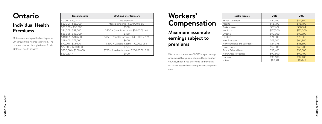## **Ontario**

#### **Individual Health Premiums**

Ontario residents pay the health premium through the income tax system. The money collected through the tax funds Ontario's health services.

| <b>Taxable Income</b> | 2005 and later tax years                   |
|-----------------------|--------------------------------------------|
| $$0.00 - $20,000$     | no premium                                 |
| $$20,001 - $25,000$   | (taxable income - \$20,000) x 6%           |
| $$25,000 - $36,000$   | \$300                                      |
| \$36,001 - \$38,500   | \$300 + (taxable income - \$36,000) x 6%   |
| \$38,501 - \$48,000   | \$450                                      |
| \$48,001 - \$48,600   | \$450 + (taxable income - \$48,000) x 25%  |
| $$48,601 - $72,000$   | \$600                                      |
| \$72,001 - \$72,600   | \$600 + (taxable income - 72,000) 25%      |
| \$72,601 - \$200,000  | \$750                                      |
| \$200,001 - \$200,600 | \$750 + (taxable income - \$200,000) x 25% |
| $$200,601 +$          | \$900                                      |

| <b>Taxable Income</b>     | 2018      | 2019      |
|---------------------------|-----------|-----------|
| <b>British Columbia</b>   | \$82,700  | \$84,800  |
| Alberta                   | \$98,700  | \$98,700  |
| Saskatchewan              | \$82,627  | \$88,314  |
| Manitoba                  | \$127,000 | \$127,000 |
| Ontario                   | \$90,300  | \$92,600  |
| Quebec                    | \$74,000  | \$76,500  |
| New Brunswick             | \$63,600  | \$64,800  |
| Newfoundland and Labrador | \$64,375  | \$65,600  |
| Nova Scotia               | \$59,800  | \$60,900  |
| Prince Edward Island      | \$53,400  | \$55,000  |
| Northwest Territories     | \$90,600  | \$92,400  |
| Nunavut                   | \$90,600  | \$92,400  |
| Yukon                     | \$86,971  | \$89,145  |

#### **Workers' Compensation**

#### **Maximum assemble earnings subject to premiums**

Workers compensation (WCIB) is a percentage of earnings that you are required to pay out of your paycheck if you ever need to draw on it. Maximum assessable earnings subject to premi-

ums